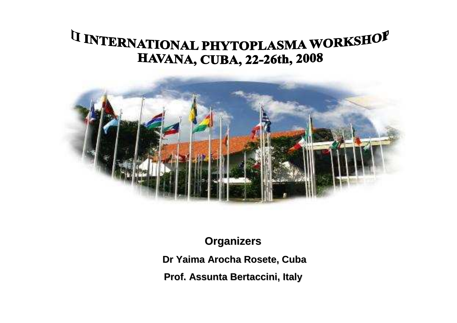## <sup>I</sup>I INTERNATIONAL PHYTOPLASMA WORKSHOP **HAVANA, CUBA, 22-26th, 2008**



**Organizers**

**Dr Yaima Arocha Rosete, Cuba**

**Prof. Assunta Bertaccini, Italy**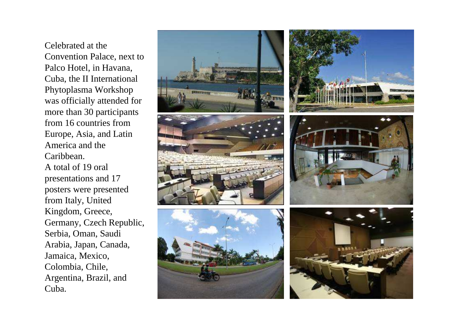Celebrated at the Convention Palace, next to Palco Hotel, in Havana, Cuba, the II International Phytoplasma Workshop was officially attended for more than 30 participants from 16 countries from Europe, Asia, and Latin America and the Caribbean.A total of 19 oral presentations and 17 posters were presented from Italy, United Kingdom, Greece, Germany, Czech Republic, Serbia, Oman, Saudi Arabia, Japan, Canada, Jamaica, Mexico, Colombia, Chile, Argentina, Brazil, and Cuba.

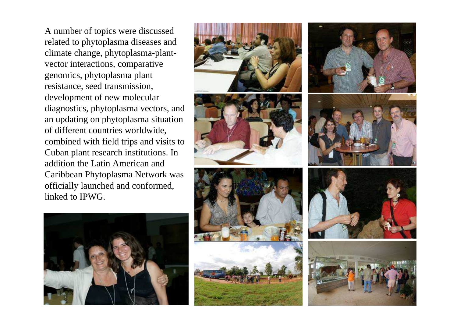A number of topics were discussed related to phytoplasma diseases and climate change, phytoplasma-plantvector interactions, comparative genomics, phytoplasma plant resistance, seed transmission, development of new molecular diagnostics, phytoplasma vectors, and an updating on phytoplasma situation of different countries worldwide, combined with field trips and visits to Cuban plant research institutions. In addition the Latin American and Caribbean Phytoplasma Network was officially launched and conformed, linked to IPWG.







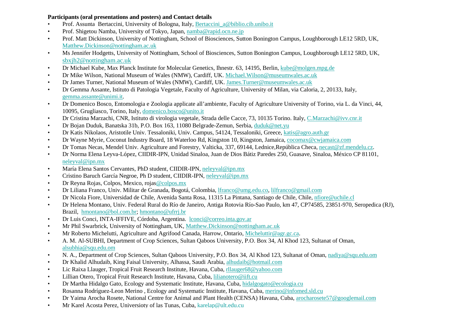## **Participants (oral presentations and posters) and Contact details**

- Prof. Assunta Bertaccini, University of Bologna, Italy, Bertaccini\_a@biblio.cib.unibo.it •
- •Prof. Shigetou Namba, University of Tokyo, Japan, namba@rapid.ocn.ne.jp
- Prof. Matt Dickinson, University of Nottingham, School of Biosciences, Sutton Bonington Campus, Loughborough LE12 5RD, UK, •Matthew.Dickinson@nottingham.ac.uk
- Ms Jennifer Hodgetts, University of Nottingham, School of Biosciences, Sutton Bonington Campus, Loughborough LE12 5RD, UK, •sbxjh2@nottingham.ac.uk
- Dr Michael Kube, Max Planck Institute for Molecular Genetics, Ihnestr. 63, 14195, Berlin, kube@molgen.mpg.de •
- •Dr Mike Wilson, National Museum of Wales (NMW), Cardiff, UK. Michael.Wilson@museumwales.ac.uk
- •Dr James Turner, National Museum of Wales (NMW), Cardiff, UK. James.Turner@museumwales.ac.uk
- Dr Gemma Assante, Istituto di Patologia Vegetale, Faculty of Agriculture, University of Milan, via Caloria, 2, 20133, Italy, •gemma.assante@unimi.it.
- Dr Domenico Bosco, Entomologia e Zoologia applicate all'ambiente, Faculty of Agriculture University of Torino, via L. da Vinci, 44, •10095, Grugliasco, Torino, Italy, domenico.bosco@unito.it
- Dr Cristina Marzachi, CNR, Istituto di virologia vegetale, Strada delle Cacce, 73, 10135 Torino. Italy, C.Marzachi@ivv.cnr.it •
- •Dr Bojan Duduk, Banatska 31b, P.O. Box 163, 11080 Belgrade-Zemun, Serbia, duduk@net.yu
- Dr Katis Nikolaos, Aristotile Univ. Tessaloniki, Univ. Campus, 54124, Tessaloniki, Greece, katis@agro.auth.gr •
- Dr Wayne Myrie, Coconut Industry Board, 18 Waterloo Rd, Kingston 10, Kingston, Jamaica, cocomax@cwjamaica.com •
- Dr Tomas Necas, Mendel Univ. Agriculture and Forestry, Valticka, 337, 69144, Lednice, República Checa, necast@zf.mendelu.cz. •
- • Dr Norma Elena Leyva-López, CIIDIR-IPN, Unidad Sinaloa, Juan de Dios Bátiz Paredes 250, Guasave, Sinaloa, México CP 81101, neleyval@ipn.mx
- María Elena Santos Cervantes, PhD student, CIIDIR-IPN, neleyval@ipn.mx •
- Cristino Baruch García Negroe, Ph D student, CIIDIR-IPN, neleyval@ipn.mx •
- •Dr Reyna Rojas, Colpos, Mexico, rojas@colpos.mx
- Dr Liliana Franco, Univ. Militar de Granada, Bogotá, Colombia, *franco@umg.edu.co, lilfranco@gmail.com* •
- Dr Nicola Fiore, Universidad de Chile, Avenida Santa Rosa, 11315 La Pintana, Santiago de Chile, Chile, nfiore@uchile.cl •
- Dr Helena Montano, Univ. Federal Rural do Río de Janeiro, Antiga Rotovia Río-Sao Paulo, km 47, CP74585, 23851-970, Seropedica (RJ), •Brazil, hmontano@bol.com.br; hmontano@ufrrj.br
- Dr Luis Conci, INTA-IFFIVE, Córdoba, Argentina. lconci@correo.inta.gov.ar •
- Mr Phil Swarbrick, University of Nottingham, UK, Matthew.Dickinson@nottingham.ac.uk•
- Mr Roberto Michelutti, Agriculture and Agrifood Canada, Harrow, Ontario, Micheluttir@agr.gc.ca. •
- • A. M. Al-SUBHI, Department of Crop Sciences, Sultan Qaboos University, P.O. Box 34, Al Khod 123, Sultanat of Oman, alsubhia@squ.edu.om
- N. A., Department of Crop Sciences, Sultan Qaboos University, P.O. Box 34, Al Khod 123, Sultanat of Oman, nadiya@squ.edu.om •
- •Dr Khalid Alhudaib, King Faisal University, Alhassa, Saudi Arabia, alhudaib@hotmail.com
- Lic Raixa Llauger, Tropical Fruit Research Institute, Havana, Cuba, rllauger68@yahoo.com •
- •Lillian Otero, Tropical Fruit Research Institute, Havana, Cuba, lilianotero@iift.cu
- Dr Martha Hidalgo Gato, Ecology and Systematic Institute, Havana, Cuba, hidalgogato@ecologia.cu •
- Rosanna Rodríguez-Leon Merino, Ecology and Systematic Institute, Havana, Cuba, merino@infomed.sld.cu •
- Dr Yaima Arocha Rosete, National Centre for Animal and Plant Health (CENSA) Havana, Cuba, arocharosete57@googlemail.com •
- •Mr Karel Acosta Perez, Universioty of las Tunas, Cuba, karelap@ult.edu.cu